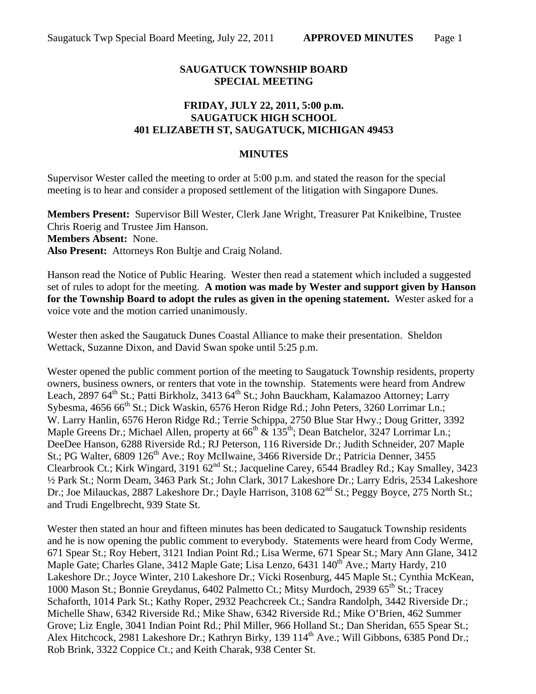## **SAUGATUCK TOWNSHIP BOARD SPECIAL MEETING**

## **FRIDAY, JULY 22, 2011, 5:00 p.m. SAUGATUCK HIGH SCHOOL 401 ELIZABETH ST, SAUGATUCK, MICHIGAN 49453**

## **MINUTES**

Supervisor Wester called the meeting to order at 5:00 p.m. and stated the reason for the special meeting is to hear and consider a proposed settlement of the litigation with Singapore Dunes.

**Members Present:** Supervisor Bill Wester, Clerk Jane Wright, Treasurer Pat Knikelbine, Trustee Chris Roerig and Trustee Jim Hanson. **Members Absent:** None. **Also Present:** Attorneys Ron Bultje and Craig Noland.

Hanson read the Notice of Public Hearing. Wester then read a statement which included a suggested set of rules to adopt for the meeting. **A motion was made by Wester and support given by Hanson for the Township Board to adopt the rules as given in the opening statement.** Wester asked for a voice vote and the motion carried unanimously.

Wester then asked the Saugatuck Dunes Coastal Alliance to make their presentation. Sheldon Wettack, Suzanne Dixon, and David Swan spoke until 5:25 p.m.

Wester opened the public comment portion of the meeting to Saugatuck Township residents, property owners, business owners, or renters that vote in the township. Statements were heard from Andrew Leach, 2897 64<sup>th</sup> St.; Patti Birkholz, 3413 64<sup>th</sup> St.; John Bauckham, Kalamazoo Attorney; Larry Sybesma, 4656 66<sup>th</sup> St.; Dick Waskin, 6576 Heron Ridge Rd.; John Peters, 3260 Lorrimar Ln.; W. Larry Hanlin, 6576 Heron Ridge Rd.; Terrie Schippa, 2750 Blue Star Hwy.; Doug Gritter, 3392 Maple Greens Dr.; Michael Allen, property at  $66^{\text{th}}$  &  $135^{\text{th}}$ ; Dean Batchelor, 3247 Lorrimar Ln.; DeeDee Hanson, 6288 Riverside Rd.; RJ Peterson, 116 Riverside Dr.; Judith Schneider, 207 Maple St.; PG Walter, 6809 126<sup>th</sup> Ave.; Roy McIlwaine, 3466 Riverside Dr.; Patricia Denner, 3455 Clearbrook Ct.; Kirk Wingard, 3191 62nd St.; Jacqueline Carey, 6544 Bradley Rd.; Kay Smalley, 3423 ½ Park St.; Norm Deam, 3463 Park St.; John Clark, 3017 Lakeshore Dr.; Larry Edris, 2534 Lakeshore Dr.; Joe Milauckas, 2887 Lakeshore Dr.; Dayle Harrison, 3108 62<sup>nd</sup> St.; Peggy Boyce, 275 North St.; and Trudi Engelbrecht, 939 State St.

Wester then stated an hour and fifteen minutes has been dedicated to Saugatuck Township residents and he is now opening the public comment to everybody. Statements were heard from Cody Werme, 671 Spear St.; Roy Hebert, 3121 Indian Point Rd.; Lisa Werme, 671 Spear St.; Mary Ann Glane, 3412 Maple Gate; Charles Glane, 3412 Maple Gate; Lisa Lenzo, 6431 140<sup>th</sup> Ave.; Marty Hardy, 210 Lakeshore Dr.; Joyce Winter, 210 Lakeshore Dr.; Vicki Rosenburg, 445 Maple St.; Cynthia McKean, 1000 Mason St.; Bonnie Greydanus, 6402 Palmetto Ct.; Mitsy Murdoch, 2939 65<sup>th</sup> St.; Tracey Schaforth, 1014 Park St.; Kathy Roper, 2932 Peachcreek Ct.; Sandra Randolph, 3442 Riverside Dr.; Michelle Shaw, 6342 Riverside Rd.; Mike Shaw, 6342 Riverside Rd.; Mike O'Brien, 462 Summer Grove; Liz Engle, 3041 Indian Point Rd.; Phil Miller, 966 Holland St.; Dan Sheridan, 655 Spear St.; Alex Hitchcock, 2981 Lakeshore Dr.; Kathryn Birky, 139 114<sup>th</sup> Ave.; Will Gibbons, 6385 Pond Dr.; Rob Brink, 3322 Coppice Ct.; and Keith Charak, 938 Center St.